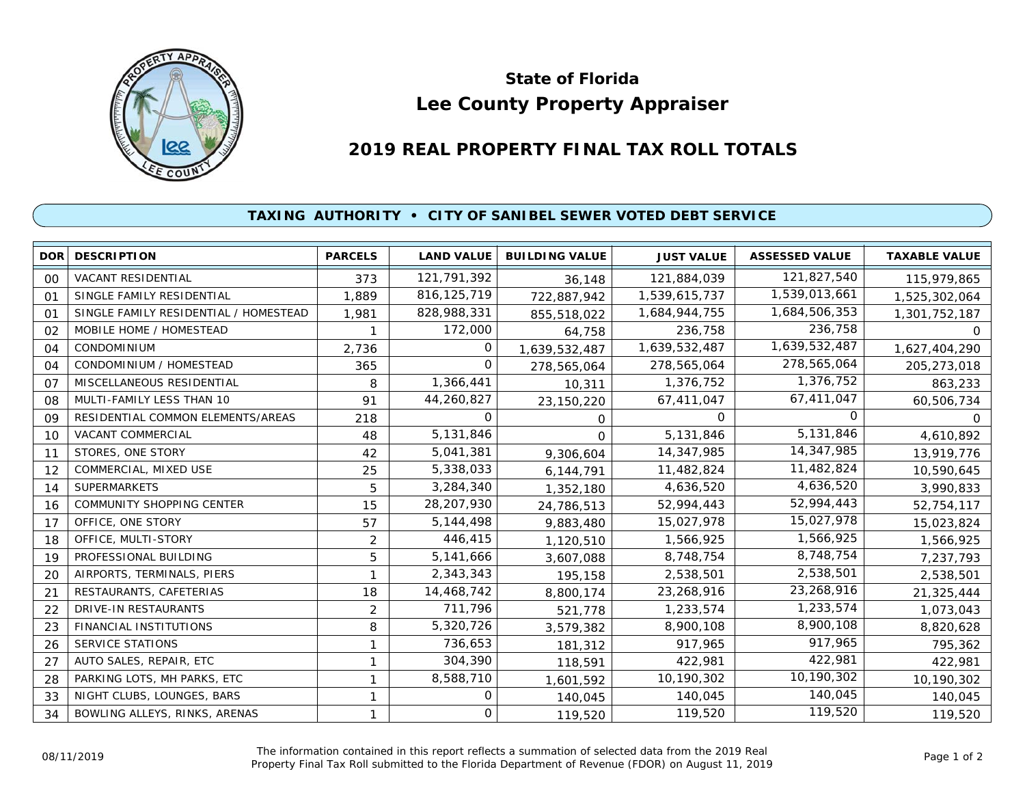

## **Lee County Property Appraiser State of Florida**

## **2019 REAL PROPERTY FINAL TAX ROLL TOTALS**

## **TAXING AUTHORITY • CITY OF SANIBEL SEWER VOTED DEBT SERVICE**

| <b>DOR</b>     | <b>DESCRIPTION</b>                    | <b>PARCELS</b> | <b>LAND VALUE</b> | <b>BUILDING VALUE</b> | <b>JUST VALUE</b> | <b>ASSESSED VALUE</b> | <b>TAXABLE VALUE</b> |
|----------------|---------------------------------------|----------------|-------------------|-----------------------|-------------------|-----------------------|----------------------|
| 0 <sup>0</sup> | <b>VACANT RESIDENTIAL</b>             | 373            | 121,791,392       | 36,148                | 121,884,039       | 121,827,540           | 115,979,865          |
| $\Omega$ 1     | SINGLE FAMILY RESIDENTIAL             | 1,889          | 816, 125, 719     | 722,887,942           | 1,539,615,737     | 1,539,013,661         | 1,525,302,064        |
| 01             | SINGLE FAMILY RESIDENTIAL / HOMESTEAD | 1,981          | 828,988,331       | 855,518,022           | 1,684,944,755     | 1,684,506,353         | 1,301,752,187        |
| 02             | MOBILE HOME / HOMESTEAD               |                | 172,000           | 64,758                | 236,758           | 236,758               | 0                    |
| 04             | <b>CONDOMINIUM</b>                    | 2,736          | 0                 | 1,639,532,487         | 1,639,532,487     | 1,639,532,487         | 1,627,404,290        |
| 04             | CONDOMINIUM / HOMESTEAD               | 365            | 0                 | 278,565,064           | 278,565,064       | 278,565,064           | 205,273,018          |
| 07             | MISCELLANEOUS RESIDENTIAL             | 8              | 1,366,441         | 10,311                | 1,376,752         | 1,376,752             | 863,233              |
| 08             | MULTI-FAMILY LESS THAN 10             | 91             | 44,260,827        | 23,150,220            | 67,411,047        | 67,411,047            | 60,506,734           |
| 09             | RESIDENTIAL COMMON ELEMENTS/AREAS     | 218            | $\Omega$          | 0                     | $\Omega$          | ∩                     | 0                    |
| 10             | VACANT COMMERCIAL                     | 48             | 5,131,846         | $\Omega$              | 5,131,846         | 5,131,846             | 4,610,892            |
| 11             | STORES, ONE STORY                     | 42             | 5,041,381         | 9,306,604             | 14,347,985        | 14,347,985            | 13,919,776           |
| 12             | COMMERCIAL, MIXED USE                 | 25             | 5,338,033         | 6,144,791             | 11,482,824        | 11,482,824            | 10,590,645           |
| 14             | <b>SUPERMARKETS</b>                   | 5              | 3,284,340         | 1,352,180             | 4,636,520         | 4,636,520             | 3,990,833            |
| 16             | <b>COMMUNITY SHOPPING CENTER</b>      | 15             | 28,207,930        | 24,786,513            | 52,994,443        | 52,994,443            | 52,754,117           |
| 17             | OFFICE, ONE STORY                     | 57             | 5,144,498         | 9,883,480             | 15,027,978        | 15,027,978            | 15,023,824           |
| 18             | OFFICE, MULTI-STORY                   | 2              | 446,415           | 1,120,510             | 1,566,925         | 1,566,925             | 1,566,925            |
| 19             | PROFESSIONAL BUILDING                 | 5              | 5,141,666         | 3,607,088             | 8,748,754         | 8,748,754             | 7,237,793            |
| 20             | AIRPORTS, TERMINALS, PIERS            |                | 2,343,343         | 195,158               | 2,538,501         | 2,538,501             | 2,538,501            |
| 21             | RESTAURANTS, CAFETERIAS               | 18             | 14,468,742        | 8,800,174             | 23,268,916        | 23,268,916            | 21,325,444           |
| 22             | DRIVE-IN RESTAURANTS                  | 2              | 711,796           | 521,778               | 1,233,574         | 1,233,574             | 1,073,043            |
| 23             | FINANCIAL INSTITUTIONS                | 8              | 5,320,726         | 3,579,382             | 8,900,108         | 8,900,108             | 8,820,628            |
| 26             | SERVICE STATIONS                      | 1              | 736,653           | 181,312               | 917,965           | 917,965               | 795,362              |
| 27             | AUTO SALES, REPAIR, ETC               | 1              | 304,390           | 118,591               | 422,981           | 422,981               | 422,981              |
| 28             | PARKING LOTS, MH PARKS, ETC           | 1              | 8,588,710         | 1,601,592             | 10,190,302        | 10,190,302            | 10,190,302           |
| 33             | NIGHT CLUBS, LOUNGES, BARS            |                | 0                 | 140,045               | 140,045           | 140,045               | 140,045              |
| 34             | BOWLING ALLEYS, RINKS, ARENAS         |                | 0                 | 119,520               | 119,520           | 119,520               | 119,520              |